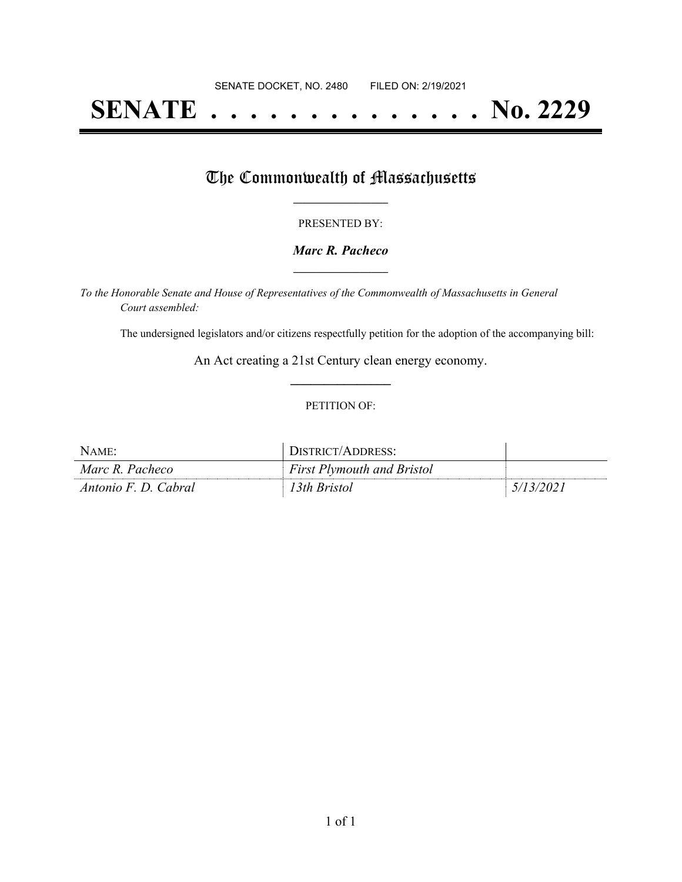# **SENATE . . . . . . . . . . . . . . No. 2229**

## The Commonwealth of Massachusetts

#### PRESENTED BY:

#### *Marc R. Pacheco* **\_\_\_\_\_\_\_\_\_\_\_\_\_\_\_\_\_**

*To the Honorable Senate and House of Representatives of the Commonwealth of Massachusetts in General Court assembled:*

The undersigned legislators and/or citizens respectfully petition for the adoption of the accompanying bill:

An Act creating a 21st Century clean energy economy. **\_\_\_\_\_\_\_\_\_\_\_\_\_\_\_**

#### PETITION OF:

| $N$ AME              | DISTRICT/ADDRESS:                 |           |
|----------------------|-----------------------------------|-----------|
| Marc R. Pacheco      | <i>First Plymouth and Bristol</i> |           |
| Antonio F. D. Cabral | 13th Bristol                      | 5/13/2021 |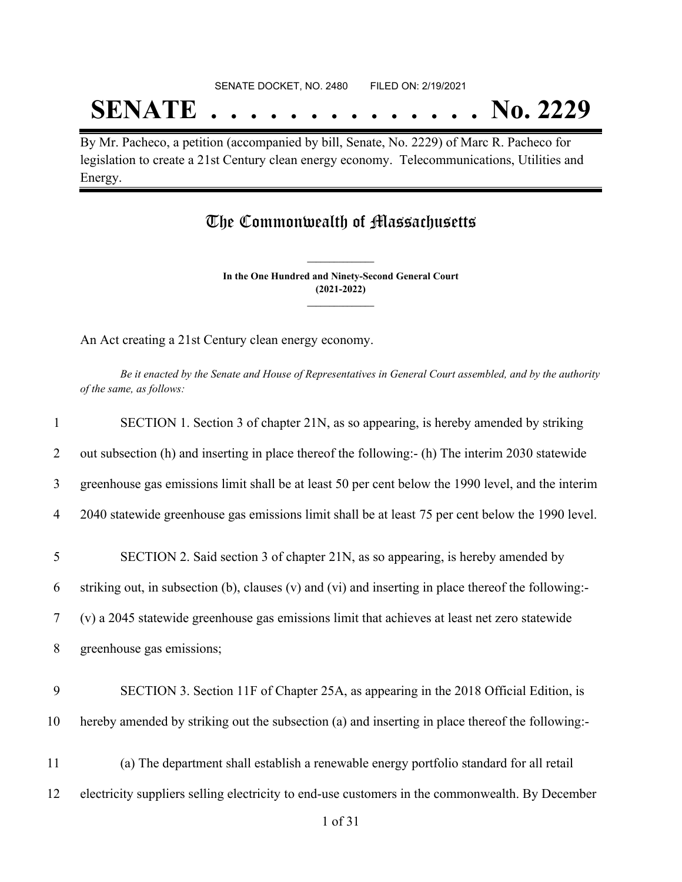# **SENATE . . . . . . . . . . . . . . No. 2229**

By Mr. Pacheco, a petition (accompanied by bill, Senate, No. 2229) of Marc R. Pacheco for legislation to create a 21st Century clean energy economy. Telecommunications, Utilities and Energy.

### The Commonwealth of Massachusetts

**In the One Hundred and Ninety-Second General Court (2021-2022) \_\_\_\_\_\_\_\_\_\_\_\_\_\_\_**

**\_\_\_\_\_\_\_\_\_\_\_\_\_\_\_**

An Act creating a 21st Century clean energy economy.

Be it enacted by the Senate and House of Representatives in General Court assembled, and by the authority *of the same, as follows:*

| $\mathbf{1}$   | SECTION 1. Section 3 of chapter 21N, as so appearing, is hereby amended by striking                  |
|----------------|------------------------------------------------------------------------------------------------------|
| 2              | out subsection (h) and inserting in place thereof the following:- (h) The interim 2030 statewide     |
| 3              | greenhouse gas emissions limit shall be at least 50 per cent below the 1990 level, and the interim   |
| $\overline{4}$ | 2040 statewide greenhouse gas emissions limit shall be at least 75 per cent below the 1990 level.    |
| 5              | SECTION 2. Said section 3 of chapter 21N, as so appearing, is hereby amended by                      |
| 6              | striking out, in subsection (b), clauses (v) and (vi) and inserting in place thereof the following:- |
| $\tau$         | (v) a 2045 statewide greenhouse gas emissions limit that achieves at least net zero statewide        |
| 8              | greenhouse gas emissions;                                                                            |
| 9              | SECTION 3. Section 11F of Chapter 25A, as appearing in the 2018 Official Edition, is                 |
| 10             | hereby amended by striking out the subsection (a) and inserting in place thereof the following:-     |
| 11             | (a) The department shall establish a renewable energy portfolio standard for all retail              |
| 12             | electricity suppliers selling electricity to end-use customers in the commonwealth. By December      |
|                |                                                                                                      |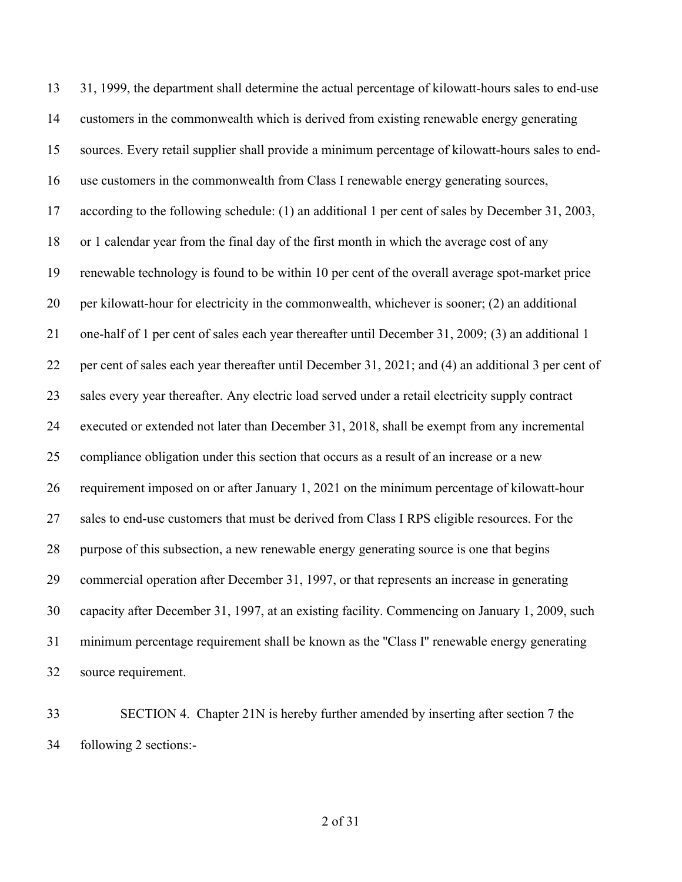31, 1999, the department shall determine the actual percentage of kilowatt-hours sales to end-use customers in the commonwealth which is derived from existing renewable energy generating sources. Every retail supplier shall provide a minimum percentage of kilowatt-hours sales to end- use customers in the commonwealth from Class I renewable energy generating sources, according to the following schedule: (1) an additional 1 per cent of sales by December 31, 2003, or 1 calendar year from the final day of the first month in which the average cost of any renewable technology is found to be within 10 per cent of the overall average spot-market price per kilowatt-hour for electricity in the commonwealth, whichever is sooner; (2) an additional one-half of 1 per cent of sales each year thereafter until December 31, 2009; (3) an additional 1 per cent of sales each year thereafter until December 31, 2021; and (4) an additional 3 per cent of sales every year thereafter. Any electric load served under a retail electricity supply contract executed or extended not later than December 31, 2018, shall be exempt from any incremental compliance obligation under this section that occurs as a result of an increase or a new requirement imposed on or after January 1, 2021 on the minimum percentage of kilowatt-hour sales to end-use customers that must be derived from Class I RPS eligible resources. For the purpose of this subsection, a new renewable energy generating source is one that begins commercial operation after December 31, 1997, or that represents an increase in generating capacity after December 31, 1997, at an existing facility. Commencing on January 1, 2009, such minimum percentage requirement shall be known as the ''Class I'' renewable energy generating source requirement.

 SECTION 4. Chapter 21N is hereby further amended by inserting after section 7 the following 2 sections:-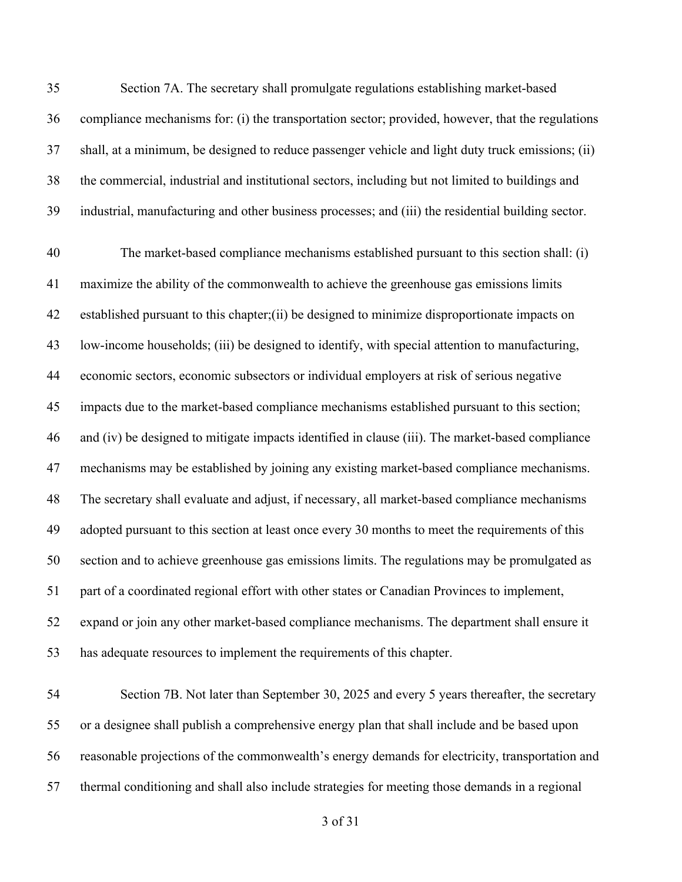Section 7A. The secretary shall promulgate regulations establishing market-based compliance mechanisms for: (i) the transportation sector; provided, however, that the regulations shall, at a minimum, be designed to reduce passenger vehicle and light duty truck emissions; (ii) the commercial, industrial and institutional sectors, including but not limited to buildings and industrial, manufacturing and other business processes; and (iii) the residential building sector.

 The market-based compliance mechanisms established pursuant to this section shall: (i) maximize the ability of the commonwealth to achieve the greenhouse gas emissions limits established pursuant to this chapter;(ii) be designed to minimize disproportionate impacts on low-income households; (iii) be designed to identify, with special attention to manufacturing, economic sectors, economic subsectors or individual employers at risk of serious negative impacts due to the market-based compliance mechanisms established pursuant to this section; and (iv) be designed to mitigate impacts identified in clause (iii). The market-based compliance mechanisms may be established by joining any existing market-based compliance mechanisms. The secretary shall evaluate and adjust, if necessary, all market-based compliance mechanisms adopted pursuant to this section at least once every 30 months to meet the requirements of this section and to achieve greenhouse gas emissions limits. The regulations may be promulgated as part of a coordinated regional effort with other states or Canadian Provinces to implement, expand or join any other market-based compliance mechanisms. The department shall ensure it has adequate resources to implement the requirements of this chapter.

 Section 7B. Not later than September 30, 2025 and every 5 years thereafter, the secretary or a designee shall publish a comprehensive energy plan that shall include and be based upon reasonable projections of the commonwealth's energy demands for electricity, transportation and thermal conditioning and shall also include strategies for meeting those demands in a regional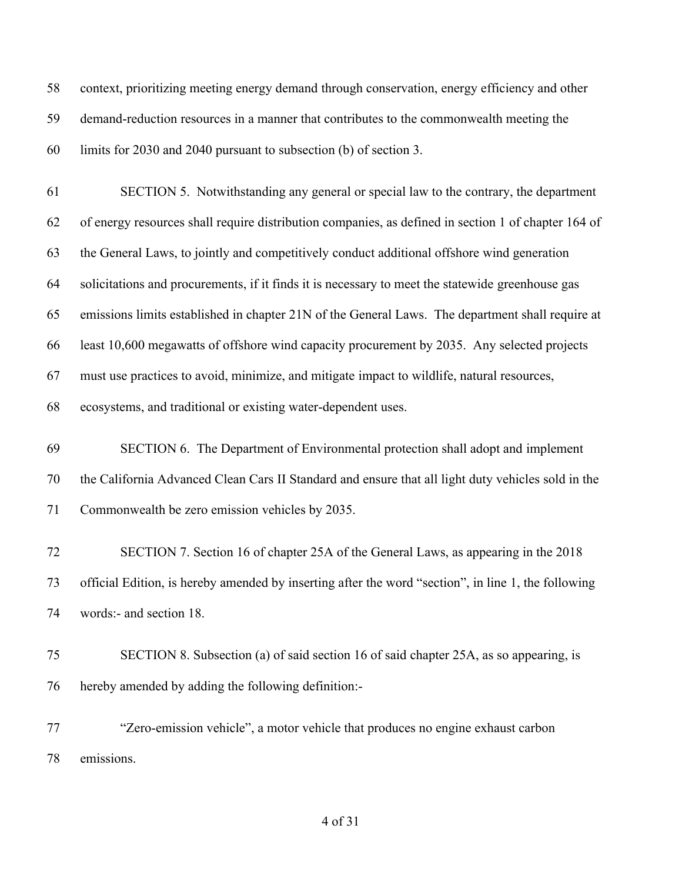context, prioritizing meeting energy demand through conservation, energy efficiency and other demand-reduction resources in a manner that contributes to the commonwealth meeting the limits for 2030 and 2040 pursuant to subsection (b) of section 3.

 SECTION 5. Notwithstanding any general or special law to the contrary, the department of energy resources shall require distribution companies, as defined in section 1 of chapter 164 of the General Laws, to jointly and competitively conduct additional offshore wind generation solicitations and procurements, if it finds it is necessary to meet the statewide greenhouse gas emissions limits established in chapter 21N of the General Laws. The department shall require at least 10,600 megawatts of offshore wind capacity procurement by 2035. Any selected projects must use practices to avoid, minimize, and mitigate impact to wildlife, natural resources, ecosystems, and traditional or existing water-dependent uses.

 SECTION 6. The Department of Environmental protection shall adopt and implement the California Advanced Clean Cars II Standard and ensure that all light duty vehicles sold in the Commonwealth be zero emission vehicles by 2035.

 SECTION 7. Section 16 of chapter 25A of the General Laws, as appearing in the 2018 official Edition, is hereby amended by inserting after the word "section", in line 1, the following words:- and section 18.

 SECTION 8. Subsection (a) of said section 16 of said chapter 25A, as so appearing, is hereby amended by adding the following definition:-

 "Zero-emission vehicle", a motor vehicle that produces no engine exhaust carbon emissions.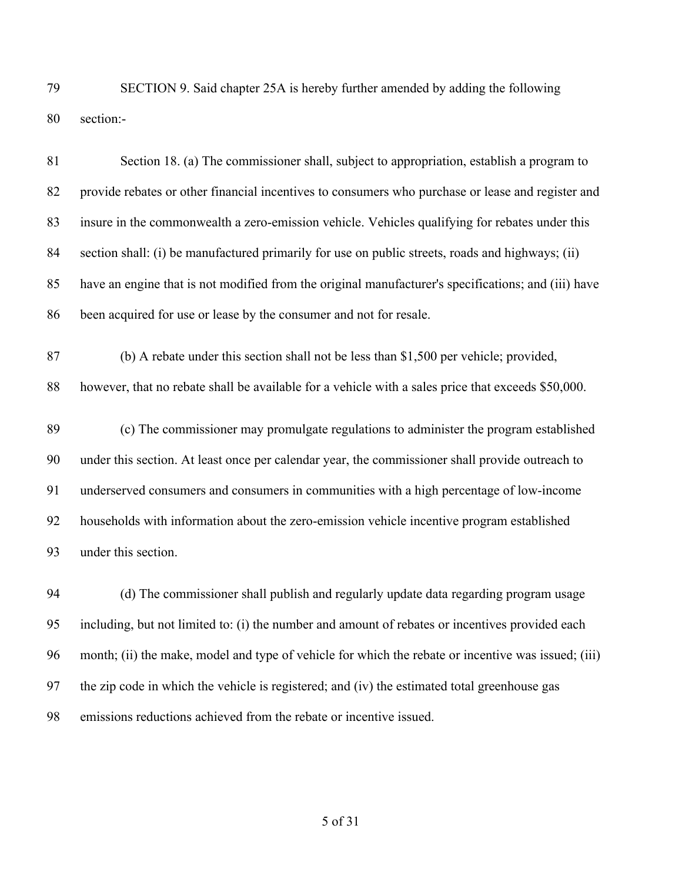SECTION 9. Said chapter 25A is hereby further amended by adding the following section:-

 Section 18. (a) The commissioner shall, subject to appropriation, establish a program to provide rebates or other financial incentives to consumers who purchase or lease and register and insure in the commonwealth a zero-emission vehicle. Vehicles qualifying for rebates under this section shall: (i) be manufactured primarily for use on public streets, roads and highways; (ii) have an engine that is not modified from the original manufacturer's specifications; and (iii) have been acquired for use or lease by the consumer and not for resale. (b) A rebate under this section shall not be less than \$1,500 per vehicle; provided, however, that no rebate shall be available for a vehicle with a sales price that exceeds \$50,000. (c) The commissioner may promulgate regulations to administer the program established under this section. At least once per calendar year, the commissioner shall provide outreach to underserved consumers and consumers in communities with a high percentage of low-income households with information about the zero-emission vehicle incentive program established

under this section.

 (d) The commissioner shall publish and regularly update data regarding program usage including, but not limited to: (i) the number and amount of rebates or incentives provided each month; (ii) the make, model and type of vehicle for which the rebate or incentive was issued; (iii) the zip code in which the vehicle is registered; and (iv) the estimated total greenhouse gas emissions reductions achieved from the rebate or incentive issued.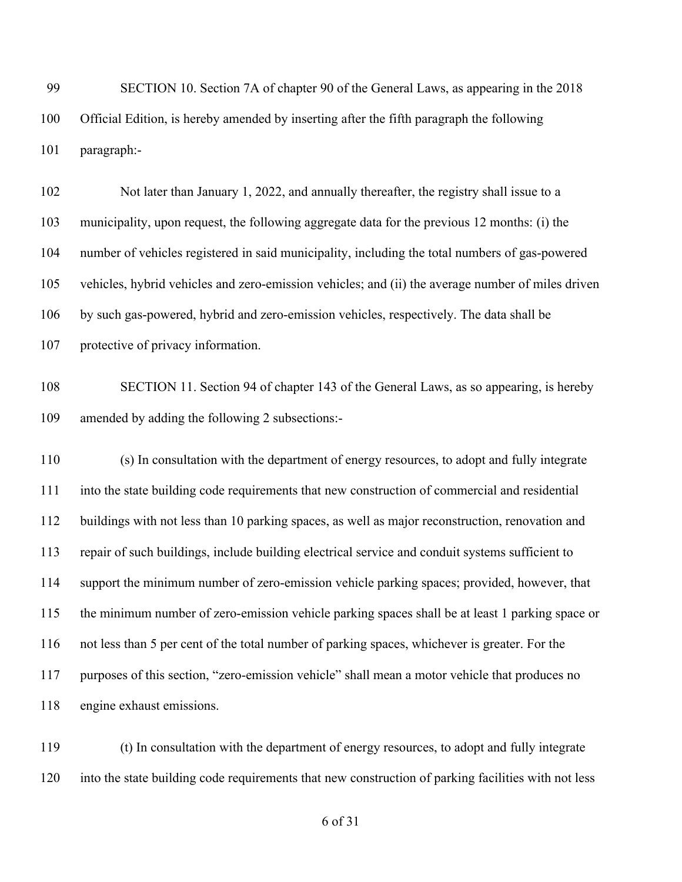SECTION 10. Section 7A of chapter 90 of the General Laws, as appearing in the 2018 Official Edition, is hereby amended by inserting after the fifth paragraph the following paragraph:-

 Not later than January 1, 2022, and annually thereafter, the registry shall issue to a municipality, upon request, the following aggregate data for the previous 12 months: (i) the number of vehicles registered in said municipality, including the total numbers of gas-powered vehicles, hybrid vehicles and zero-emission vehicles; and (ii) the average number of miles driven by such gas-powered, hybrid and zero-emission vehicles, respectively. The data shall be protective of privacy information.

 SECTION 11. Section 94 of chapter 143 of the General Laws, as so appearing, is hereby amended by adding the following 2 subsections:-

 (s) In consultation with the department of energy resources, to adopt and fully integrate into the state building code requirements that new construction of commercial and residential buildings with not less than 10 parking spaces, as well as major reconstruction, renovation and repair of such buildings, include building electrical service and conduit systems sufficient to support the minimum number of zero-emission vehicle parking spaces; provided, however, that the minimum number of zero-emission vehicle parking spaces shall be at least 1 parking space or not less than 5 per cent of the total number of parking spaces, whichever is greater. For the purposes of this section, "zero-emission vehicle" shall mean a motor vehicle that produces no engine exhaust emissions.

 (t) In consultation with the department of energy resources, to adopt and fully integrate into the state building code requirements that new construction of parking facilities with not less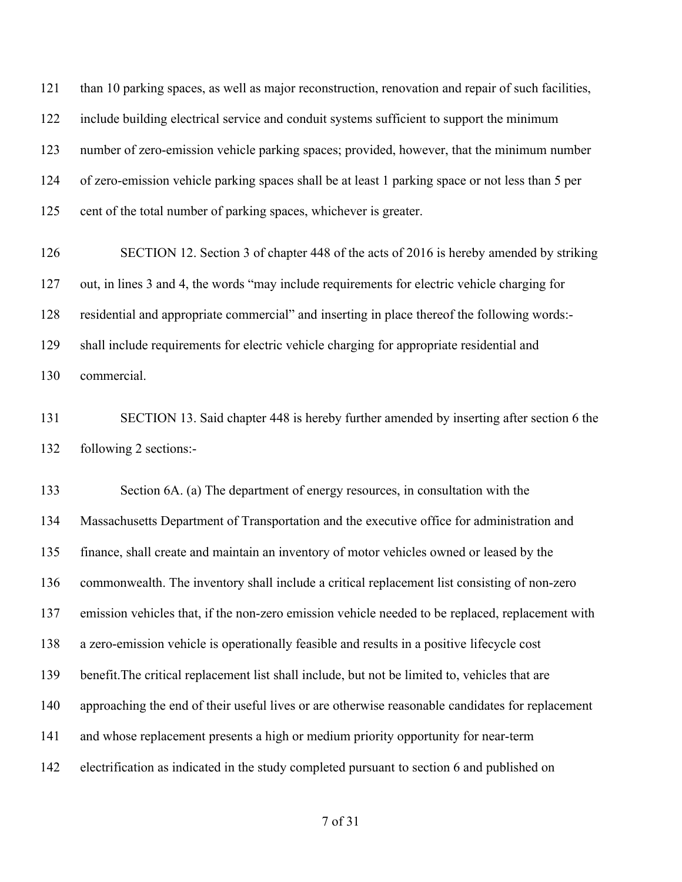than 10 parking spaces, as well as major reconstruction, renovation and repair of such facilities, include building electrical service and conduit systems sufficient to support the minimum number of zero-emission vehicle parking spaces; provided, however, that the minimum number of zero-emission vehicle parking spaces shall be at least 1 parking space or not less than 5 per cent of the total number of parking spaces, whichever is greater.

 SECTION 12. Section 3 of chapter 448 of the acts of 2016 is hereby amended by striking out, in lines 3 and 4, the words "may include requirements for electric vehicle charging for residential and appropriate commercial" and inserting in place thereof the following words:- shall include requirements for electric vehicle charging for appropriate residential and commercial.

 SECTION 13. Said chapter 448 is hereby further amended by inserting after section 6 the following 2 sections:-

 Section 6A. (a) The department of energy resources, in consultation with the Massachusetts Department of Transportation and the executive office for administration and finance, shall create and maintain an inventory of motor vehicles owned or leased by the commonwealth. The inventory shall include a critical replacement list consisting of non-zero emission vehicles that, if the non-zero emission vehicle needed to be replaced, replacement with a zero-emission vehicle is operationally feasible and results in a positive lifecycle cost benefit.The critical replacement list shall include, but not be limited to, vehicles that are approaching the end of their useful lives or are otherwise reasonable candidates for replacement and whose replacement presents a high or medium priority opportunity for near-term electrification as indicated in the study completed pursuant to section 6 and published on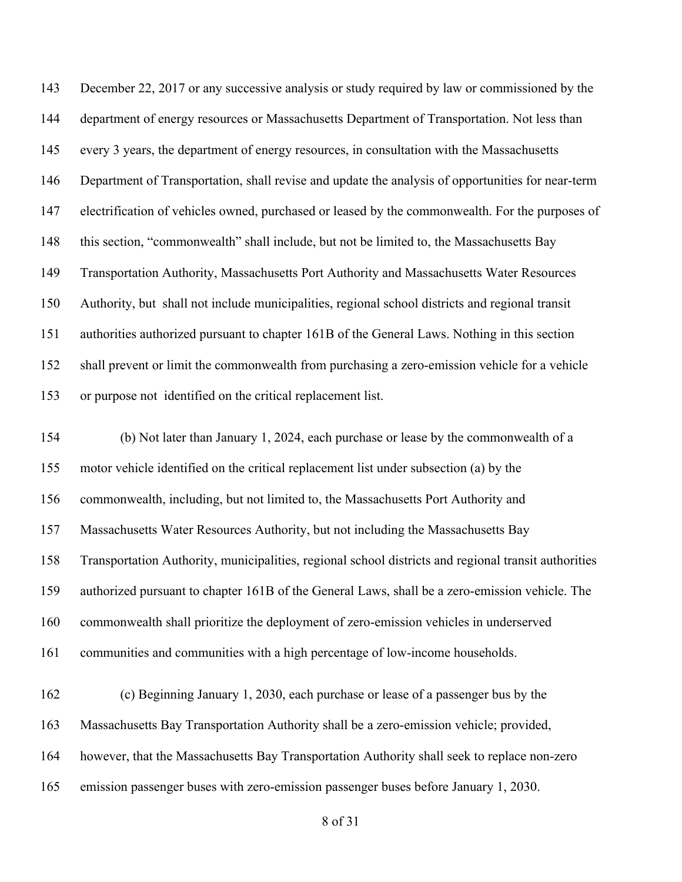December 22, 2017 or any successive analysis or study required by law or commissioned by the department of energy resources or Massachusetts Department of Transportation. Not less than every 3 years, the department of energy resources, in consultation with the Massachusetts Department of Transportation, shall revise and update the analysis of opportunities for near-term electrification of vehicles owned, purchased or leased by the commonwealth. For the purposes of this section, "commonwealth" shall include, but not be limited to, the Massachusetts Bay Transportation Authority, Massachusetts Port Authority and Massachusetts Water Resources Authority, but shall not include municipalities, regional school districts and regional transit authorities authorized pursuant to chapter 161B of the General Laws. Nothing in this section shall prevent or limit the commonwealth from purchasing a zero-emission vehicle for a vehicle or purpose not identified on the critical replacement list.

 (b) Not later than January 1, 2024, each purchase or lease by the commonwealth of a motor vehicle identified on the critical replacement list under subsection (a) by the commonwealth, including, but not limited to, the Massachusetts Port Authority and Massachusetts Water Resources Authority, but not including the Massachusetts Bay Transportation Authority, municipalities, regional school districts and regional transit authorities authorized pursuant to chapter 161B of the General Laws, shall be a zero-emission vehicle. The commonwealth shall prioritize the deployment of zero-emission vehicles in underserved communities and communities with a high percentage of low-income households.

 (c) Beginning January 1, 2030, each purchase or lease of a passenger bus by the Massachusetts Bay Transportation Authority shall be a zero-emission vehicle; provided, however, that the Massachusetts Bay Transportation Authority shall seek to replace non-zero emission passenger buses with zero-emission passenger buses before January 1, 2030.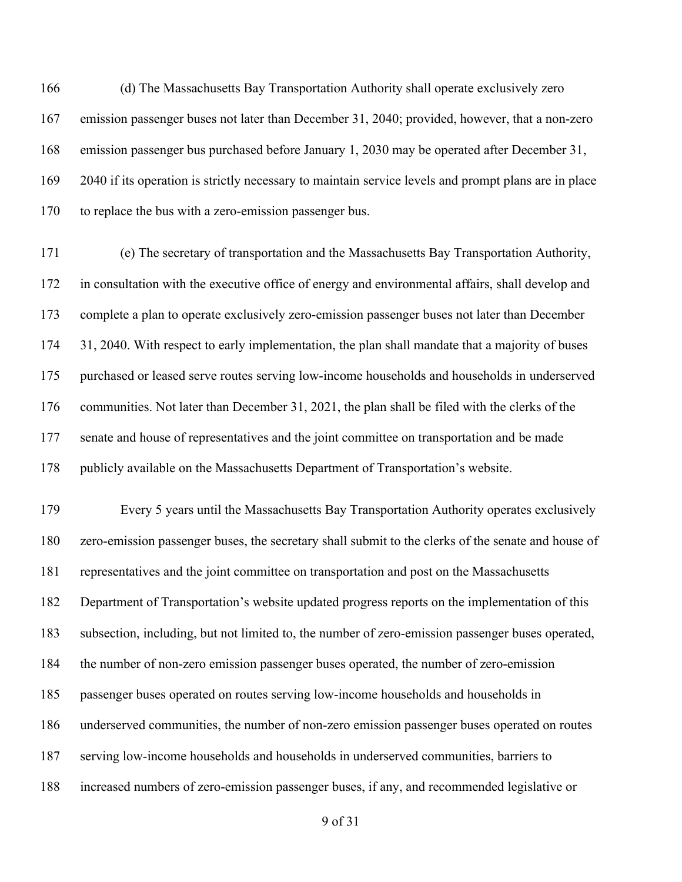(d) The Massachusetts Bay Transportation Authority shall operate exclusively zero emission passenger buses not later than December 31, 2040; provided, however, that a non-zero emission passenger bus purchased before January 1, 2030 may be operated after December 31, 2040 if its operation is strictly necessary to maintain service levels and prompt plans are in place to replace the bus with a zero-emission passenger bus.

 (e) The secretary of transportation and the Massachusetts Bay Transportation Authority, in consultation with the executive office of energy and environmental affairs, shall develop and complete a plan to operate exclusively zero-emission passenger buses not later than December 31, 2040. With respect to early implementation, the plan shall mandate that a majority of buses purchased or leased serve routes serving low-income households and households in underserved communities. Not later than December 31, 2021, the plan shall be filed with the clerks of the senate and house of representatives and the joint committee on transportation and be made publicly available on the Massachusetts Department of Transportation's website.

 Every 5 years until the Massachusetts Bay Transportation Authority operates exclusively zero-emission passenger buses, the secretary shall submit to the clerks of the senate and house of representatives and the joint committee on transportation and post on the Massachusetts Department of Transportation's website updated progress reports on the implementation of this subsection, including, but not limited to, the number of zero-emission passenger buses operated, the number of non-zero emission passenger buses operated, the number of zero-emission passenger buses operated on routes serving low-income households and households in underserved communities, the number of non-zero emission passenger buses operated on routes serving low-income households and households in underserved communities, barriers to increased numbers of zero-emission passenger buses, if any, and recommended legislative or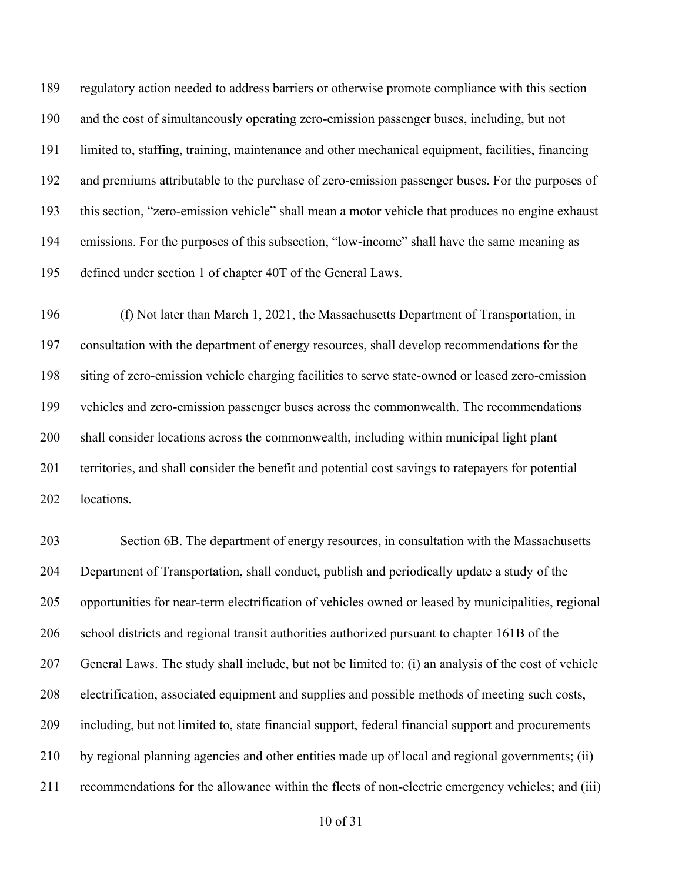regulatory action needed to address barriers or otherwise promote compliance with this section and the cost of simultaneously operating zero-emission passenger buses, including, but not limited to, staffing, training, maintenance and other mechanical equipment, facilities, financing and premiums attributable to the purchase of zero-emission passenger buses. For the purposes of this section, "zero-emission vehicle" shall mean a motor vehicle that produces no engine exhaust emissions. For the purposes of this subsection, "low-income" shall have the same meaning as defined under section 1 of chapter 40T of the General Laws.

 (f) Not later than March 1, 2021, the Massachusetts Department of Transportation, in consultation with the department of energy resources, shall develop recommendations for the siting of zero-emission vehicle charging facilities to serve state-owned or leased zero-emission vehicles and zero-emission passenger buses across the commonwealth. The recommendations shall consider locations across the commonwealth, including within municipal light plant territories, and shall consider the benefit and potential cost savings to ratepayers for potential locations.

 Section 6B. The department of energy resources, in consultation with the Massachusetts Department of Transportation, shall conduct, publish and periodically update a study of the opportunities for near-term electrification of vehicles owned or leased by municipalities, regional school districts and regional transit authorities authorized pursuant to chapter 161B of the General Laws. The study shall include, but not be limited to: (i) an analysis of the cost of vehicle electrification, associated equipment and supplies and possible methods of meeting such costs, including, but not limited to, state financial support, federal financial support and procurements by regional planning agencies and other entities made up of local and regional governments; (ii) recommendations for the allowance within the fleets of non-electric emergency vehicles; and (iii)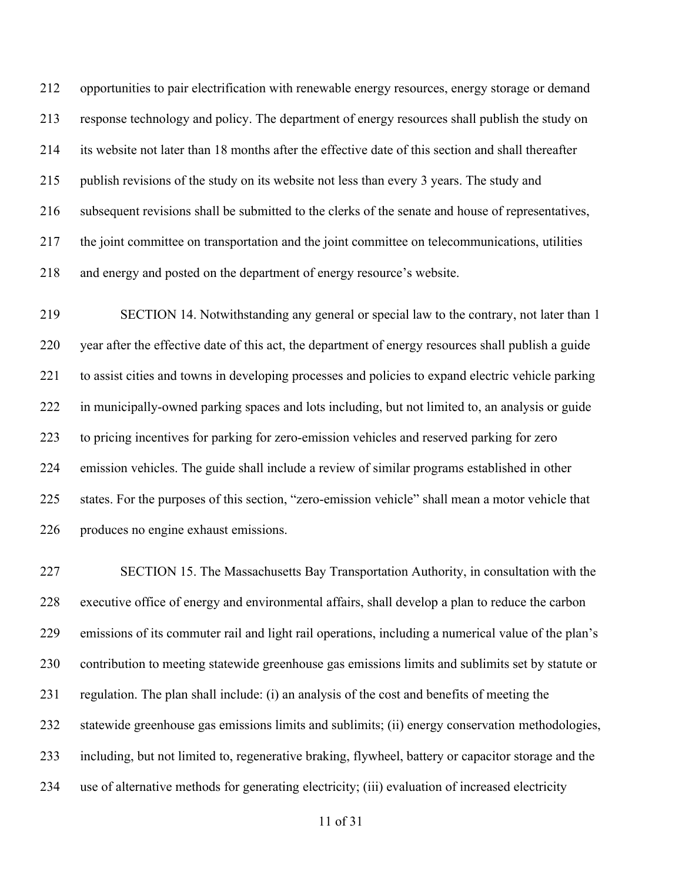opportunities to pair electrification with renewable energy resources, energy storage or demand response technology and policy. The department of energy resources shall publish the study on its website not later than 18 months after the effective date of this section and shall thereafter publish revisions of the study on its website not less than every 3 years. The study and subsequent revisions shall be submitted to the clerks of the senate and house of representatives, the joint committee on transportation and the joint committee on telecommunications, utilities and energy and posted on the department of energy resource's website.

 SECTION 14. Notwithstanding any general or special law to the contrary, not later than 1 year after the effective date of this act, the department of energy resources shall publish a guide to assist cities and towns in developing processes and policies to expand electric vehicle parking in municipally-owned parking spaces and lots including, but not limited to, an analysis or guide to pricing incentives for parking for zero-emission vehicles and reserved parking for zero emission vehicles. The guide shall include a review of similar programs established in other states. For the purposes of this section, "zero-emission vehicle" shall mean a motor vehicle that produces no engine exhaust emissions.

 SECTION 15. The Massachusetts Bay Transportation Authority, in consultation with the executive office of energy and environmental affairs, shall develop a plan to reduce the carbon emissions of its commuter rail and light rail operations, including a numerical value of the plan's contribution to meeting statewide greenhouse gas emissions limits and sublimits set by statute or regulation. The plan shall include: (i) an analysis of the cost and benefits of meeting the statewide greenhouse gas emissions limits and sublimits; (ii) energy conservation methodologies, including, but not limited to, regenerative braking, flywheel, battery or capacitor storage and the use of alternative methods for generating electricity; (iii) evaluation of increased electricity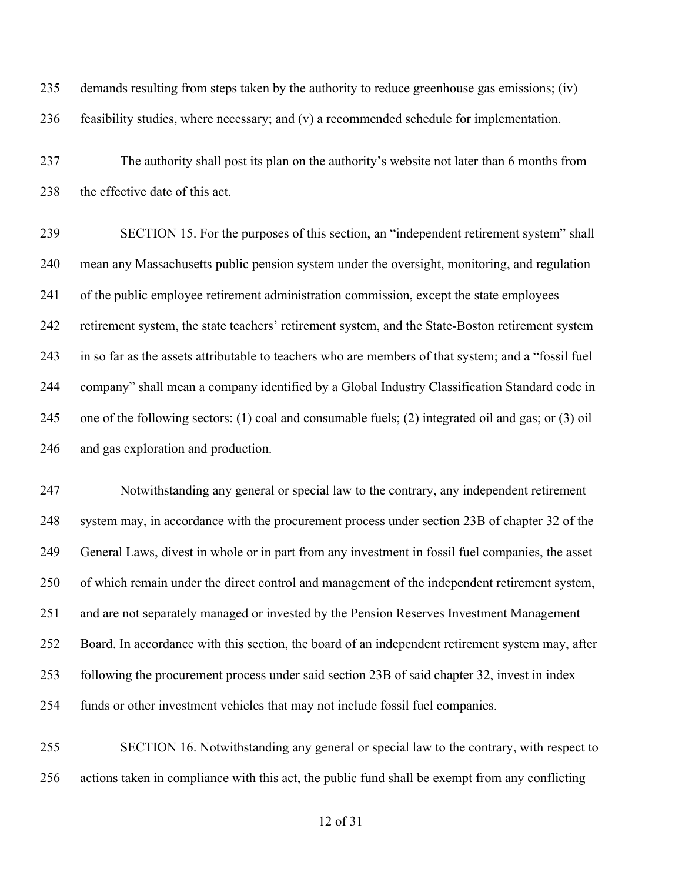| 235 | demands resulting from steps taken by the authority to reduce greenhouse gas emissions; (iv)         |
|-----|------------------------------------------------------------------------------------------------------|
| 236 | feasibility studies, where necessary; and (v) a recommended schedule for implementation.             |
| 237 | The authority shall post its plan on the authority's website not later than 6 months from            |
| 238 | the effective date of this act.                                                                      |
| 239 | SECTION 15. For the purposes of this section, an "independent retirement system" shall               |
| 240 | mean any Massachusetts public pension system under the oversight, monitoring, and regulation         |
| 241 | of the public employee retirement administration commission, except the state employees              |
| 242 | retirement system, the state teachers' retirement system, and the State-Boston retirement system     |
| 243 | in so far as the assets attributable to teachers who are members of that system; and a "fossil fuel" |
| 244 | company" shall mean a company identified by a Global Industry Classification Standard code in        |
| 245 | one of the following sectors: (1) coal and consumable fuels; (2) integrated oil and gas; or (3) oil  |
| 246 | and gas exploration and production.                                                                  |

 Notwithstanding any general or special law to the contrary, any independent retirement system may, in accordance with the procurement process under section 23B of chapter 32 of the General Laws, divest in whole or in part from any investment in fossil fuel companies, the asset of which remain under the direct control and management of the independent retirement system, and are not separately managed or invested by the Pension Reserves Investment Management Board. In accordance with this section, the board of an independent retirement system may, after following the procurement process under said section 23B of said chapter 32, invest in index funds or other investment vehicles that may not include fossil fuel companies.

 SECTION 16. Notwithstanding any general or special law to the contrary, with respect to actions taken in compliance with this act, the public fund shall be exempt from any conflicting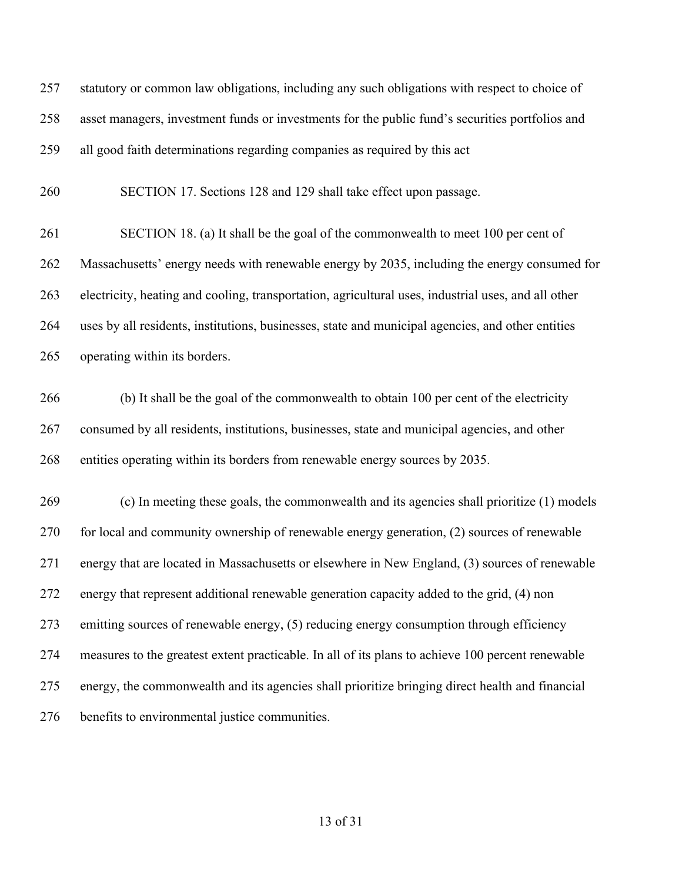statutory or common law obligations, including any such obligations with respect to choice of asset managers, investment funds or investments for the public fund's securities portfolios and all good faith determinations regarding companies as required by this act SECTION 17. Sections 128 and 129 shall take effect upon passage. SECTION 18. (a) It shall be the goal of the commonwealth to meet 100 per cent of Massachusetts' energy needs with renewable energy by 2035, including the energy consumed for electricity, heating and cooling, transportation, agricultural uses, industrial uses, and all other uses by all residents, institutions, businesses, state and municipal agencies, and other entities operating within its borders. (b) It shall be the goal of the commonwealth to obtain 100 per cent of the electricity consumed by all residents, institutions, businesses, state and municipal agencies, and other entities operating within its borders from renewable energy sources by 2035. (c) In meeting these goals, the commonwealth and its agencies shall prioritize (1) models for local and community ownership of renewable energy generation, (2) sources of renewable energy that are located in Massachusetts or elsewhere in New England, (3) sources of renewable energy that represent additional renewable generation capacity added to the grid, (4) non emitting sources of renewable energy, (5) reducing energy consumption through efficiency measures to the greatest extent practicable. In all of its plans to achieve 100 percent renewable energy, the commonwealth and its agencies shall prioritize bringing direct health and financial benefits to environmental justice communities.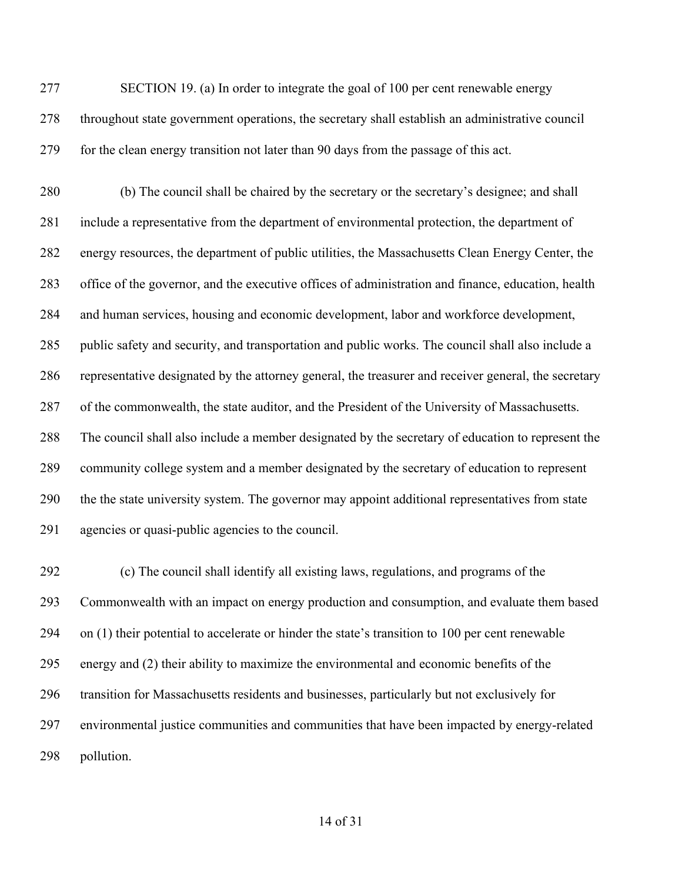SECTION 19. (a) In order to integrate the goal of 100 per cent renewable energy throughout state government operations, the secretary shall establish an administrative council for the clean energy transition not later than 90 days from the passage of this act.

 (b) The council shall be chaired by the secretary or the secretary's designee; and shall include a representative from the department of environmental protection, the department of energy resources, the department of public utilities, the Massachusetts Clean Energy Center, the office of the governor, and the executive offices of administration and finance, education, health and human services, housing and economic development, labor and workforce development, public safety and security, and transportation and public works. The council shall also include a representative designated by the attorney general, the treasurer and receiver general, the secretary of the commonwealth, the state auditor, and the President of the University of Massachusetts. The council shall also include a member designated by the secretary of education to represent the community college system and a member designated by the secretary of education to represent the the state university system. The governor may appoint additional representatives from state agencies or quasi-public agencies to the council.

 (c) The council shall identify all existing laws, regulations, and programs of the Commonwealth with an impact on energy production and consumption, and evaluate them based on (1) their potential to accelerate or hinder the state's transition to 100 per cent renewable energy and (2) their ability to maximize the environmental and economic benefits of the transition for Massachusetts residents and businesses, particularly but not exclusively for environmental justice communities and communities that have been impacted by energy-related pollution.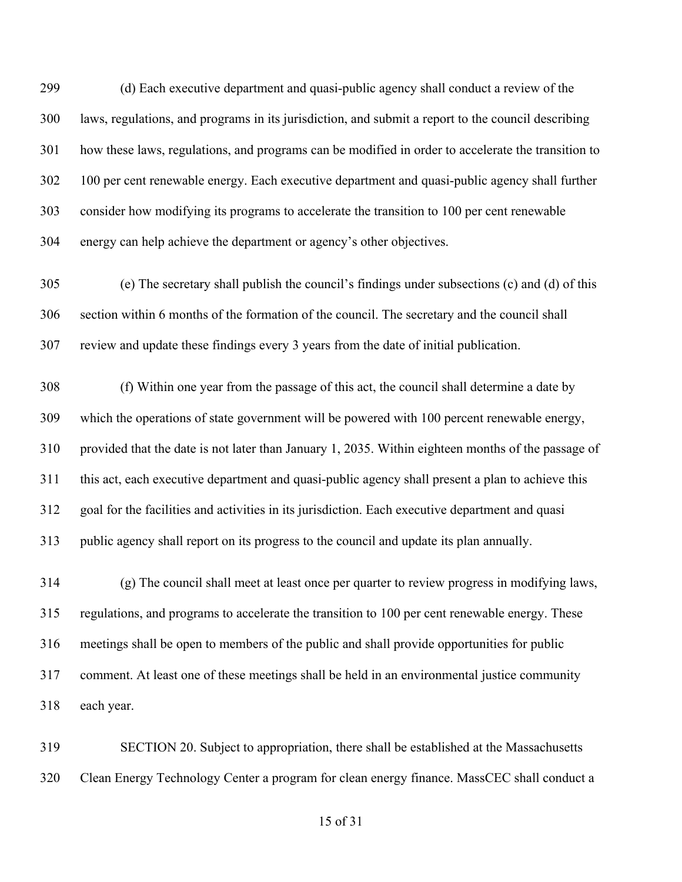(d) Each executive department and quasi-public agency shall conduct a review of the laws, regulations, and programs in its jurisdiction, and submit a report to the council describing how these laws, regulations, and programs can be modified in order to accelerate the transition to 100 per cent renewable energy. Each executive department and quasi-public agency shall further consider how modifying its programs to accelerate the transition to 100 per cent renewable energy can help achieve the department or agency's other objectives.

 (e) The secretary shall publish the council's findings under subsections (c) and (d) of this section within 6 months of the formation of the council. The secretary and the council shall review and update these findings every 3 years from the date of initial publication.

 (f) Within one year from the passage of this act, the council shall determine a date by which the operations of state government will be powered with 100 percent renewable energy, provided that the date is not later than January 1, 2035. Within eighteen months of the passage of this act, each executive department and quasi-public agency shall present a plan to achieve this goal for the facilities and activities in its jurisdiction. Each executive department and quasi public agency shall report on its progress to the council and update its plan annually.

 (g) The council shall meet at least once per quarter to review progress in modifying laws, regulations, and programs to accelerate the transition to 100 per cent renewable energy. These meetings shall be open to members of the public and shall provide opportunities for public comment. At least one of these meetings shall be held in an environmental justice community each year.

 SECTION 20. Subject to appropriation, there shall be established at the Massachusetts Clean Energy Technology Center a program for clean energy finance. MassCEC shall conduct a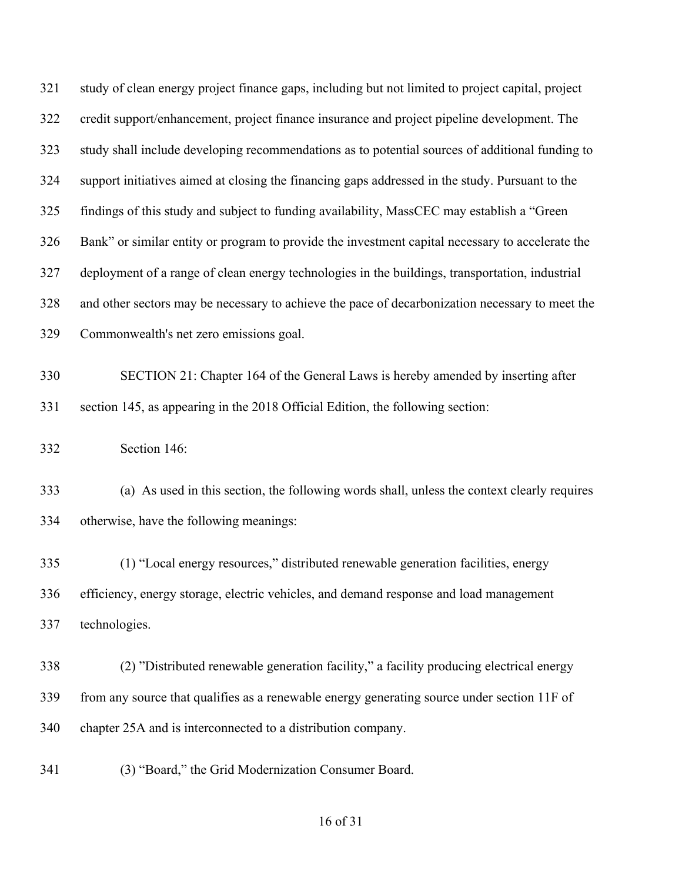study of clean energy project finance gaps, including but not limited to project capital, project credit support/enhancement, project finance insurance and project pipeline development. The study shall include developing recommendations as to potential sources of additional funding to support initiatives aimed at closing the financing gaps addressed in the study. Pursuant to the findings of this study and subject to funding availability, MassCEC may establish a "Green Bank" or similar entity or program to provide the investment capital necessary to accelerate the deployment of a range of clean energy technologies in the buildings, transportation, industrial and other sectors may be necessary to achieve the pace of decarbonization necessary to meet the Commonwealth's net zero emissions goal.

 SECTION 21: Chapter 164 of the General Laws is hereby amended by inserting after section 145, as appearing in the 2018 Official Edition, the following section:

Section 146:

 (a) As used in this section, the following words shall, unless the context clearly requires otherwise, have the following meanings:

 (1) "Local energy resources," distributed renewable generation facilities, energy efficiency, energy storage, electric vehicles, and demand response and load management technologies.

- (2) "Distributed renewable generation facility," a facility producing electrical energy from any source that qualifies as a renewable energy generating source under section 11F of chapter 25A and is interconnected to a distribution company.
- (3) "Board," the Grid Modernization Consumer Board.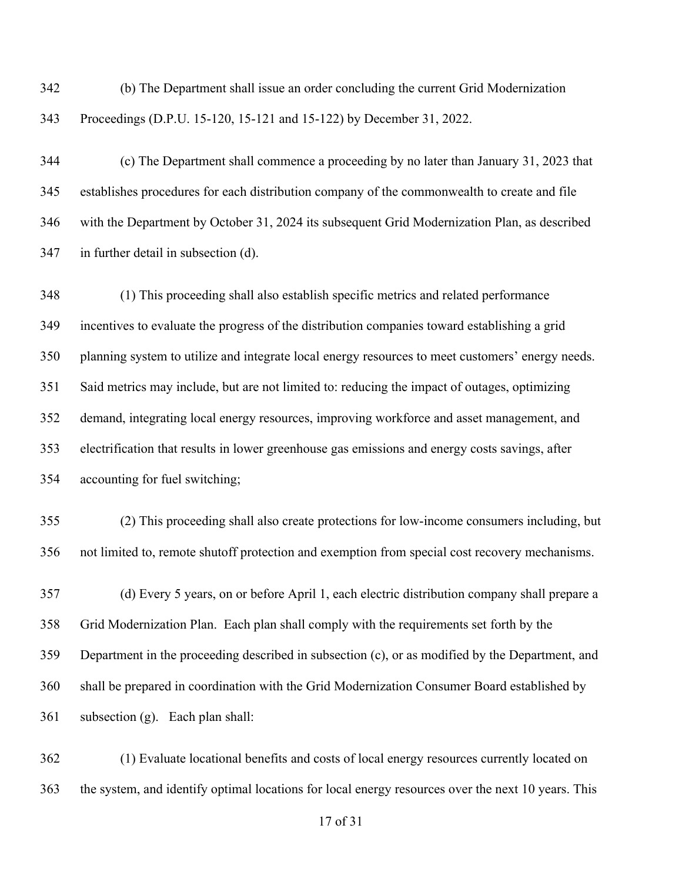| 342 | (b) The Department shall issue an order concluding the current Grid Modernization |
|-----|-----------------------------------------------------------------------------------|
| 343 | Proceedings (D.P.U. 15-120, 15-121 and 15-122) by December 31, 2022.              |

 (c) The Department shall commence a proceeding by no later than January 31, 2023 that establishes procedures for each distribution company of the commonwealth to create and file with the Department by October 31, 2024 its subsequent Grid Modernization Plan, as described in further detail in subsection (d).

 (1) This proceeding shall also establish specific metrics and related performance incentives to evaluate the progress of the distribution companies toward establishing a grid planning system to utilize and integrate local energy resources to meet customers' energy needs. Said metrics may include, but are not limited to: reducing the impact of outages, optimizing demand, integrating local energy resources, improving workforce and asset management, and electrification that results in lower greenhouse gas emissions and energy costs savings, after accounting for fuel switching;

 (2) This proceeding shall also create protections for low-income consumers including, but not limited to, remote shutoff protection and exemption from special cost recovery mechanisms.

 (d) Every 5 years, on or before April 1, each electric distribution company shall prepare a Grid Modernization Plan. Each plan shall comply with the requirements set forth by the Department in the proceeding described in subsection (c), or as modified by the Department, and shall be prepared in coordination with the Grid Modernization Consumer Board established by subsection (g). Each plan shall:

 (1) Evaluate locational benefits and costs of local energy resources currently located on the system, and identify optimal locations for local energy resources over the next 10 years. This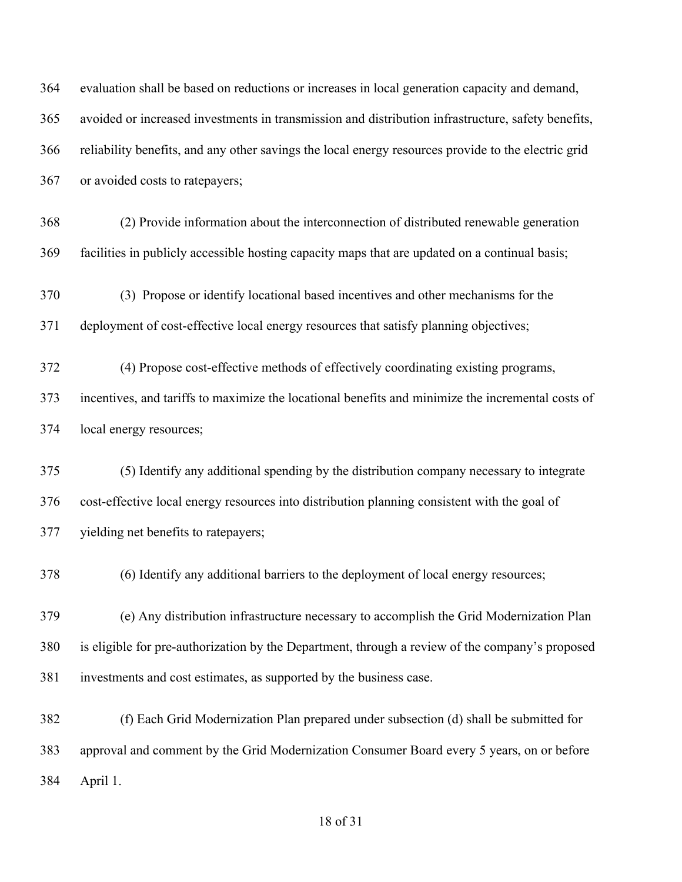| 364 | evaluation shall be based on reductions or increases in local generation capacity and demand,       |
|-----|-----------------------------------------------------------------------------------------------------|
| 365 | avoided or increased investments in transmission and distribution infrastructure, safety benefits,  |
| 366 | reliability benefits, and any other savings the local energy resources provide to the electric grid |
| 367 | or avoided costs to ratepayers;                                                                     |
| 368 | (2) Provide information about the interconnection of distributed renewable generation               |
| 369 | facilities in publicly accessible hosting capacity maps that are updated on a continual basis;      |
| 370 | (3) Propose or identify locational based incentives and other mechanisms for the                    |
| 371 | deployment of cost-effective local energy resources that satisfy planning objectives;               |
| 372 | (4) Propose cost-effective methods of effectively coordinating existing programs,                   |
| 373 | incentives, and tariffs to maximize the locational benefits and minimize the incremental costs of   |
| 374 | local energy resources;                                                                             |
| 375 | (5) Identify any additional spending by the distribution company necessary to integrate             |
| 376 | cost-effective local energy resources into distribution planning consistent with the goal of        |
| 377 | yielding net benefits to ratepayers;                                                                |
| 378 | (6) Identify any additional barriers to the deployment of local energy resources;                   |
| 379 | (e) Any distribution infrastructure necessary to accomplish the Grid Modernization Plan             |
| 380 | is eligible for pre-authorization by the Department, through a review of the company's proposed     |
| 381 | investments and cost estimates, as supported by the business case.                                  |
| 382 | (f) Each Grid Modernization Plan prepared under subsection (d) shall be submitted for               |
| 383 | approval and comment by the Grid Modernization Consumer Board every 5 years, on or before           |
| 384 | April 1.                                                                                            |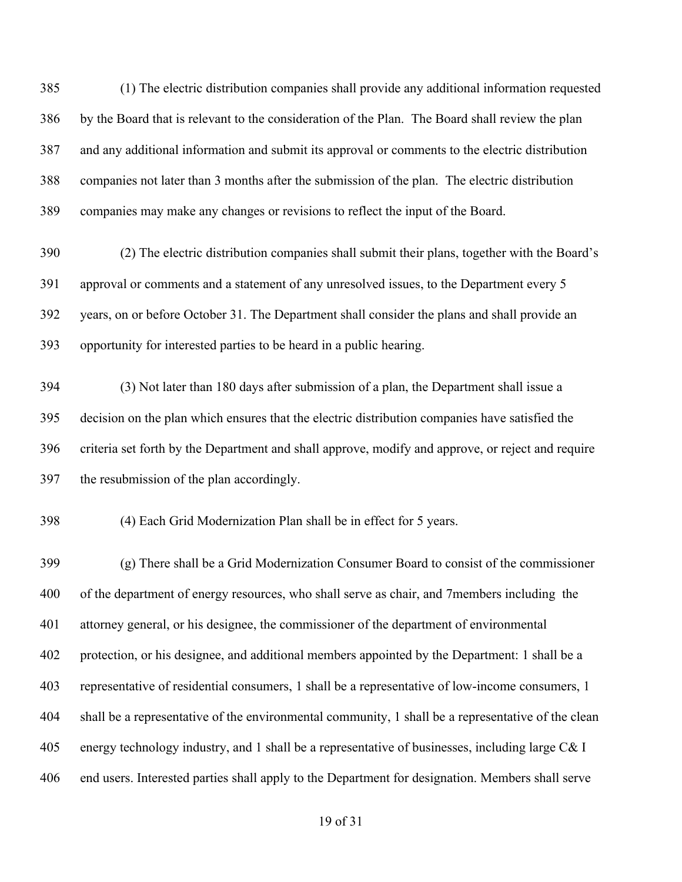(1) The electric distribution companies shall provide any additional information requested by the Board that is relevant to the consideration of the Plan. The Board shall review the plan and any additional information and submit its approval or comments to the electric distribution companies not later than 3 months after the submission of the plan. The electric distribution companies may make any changes or revisions to reflect the input of the Board.

 (2) The electric distribution companies shall submit their plans, together with the Board's approval or comments and a statement of any unresolved issues, to the Department every 5 years, on or before October 31. The Department shall consider the plans and shall provide an opportunity for interested parties to be heard in a public hearing.

 (3) Not later than 180 days after submission of a plan, the Department shall issue a decision on the plan which ensures that the electric distribution companies have satisfied the criteria set forth by the Department and shall approve, modify and approve, or reject and require the resubmission of the plan accordingly.

(4) Each Grid Modernization Plan shall be in effect for 5 years.

 (g) There shall be a Grid Modernization Consumer Board to consist of the commissioner of the department of energy resources, who shall serve as chair, and 7members including the attorney general, or his designee, the commissioner of the department of environmental protection, or his designee, and additional members appointed by the Department: 1 shall be a representative of residential consumers, 1 shall be a representative of low-income consumers, 1 shall be a representative of the environmental community, 1 shall be a representative of the clean energy technology industry, and 1 shall be a representative of businesses, including large C& I end users. Interested parties shall apply to the Department for designation. Members shall serve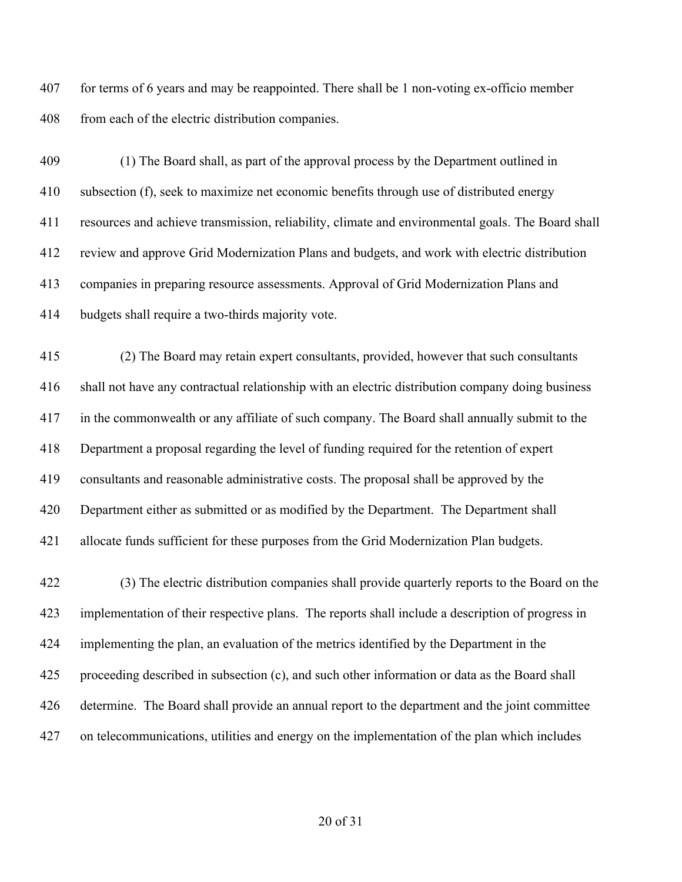for terms of 6 years and may be reappointed. There shall be 1 non-voting ex-officio member from each of the electric distribution companies.

 (1) The Board shall, as part of the approval process by the Department outlined in subsection (f), seek to maximize net economic benefits through use of distributed energy resources and achieve transmission, reliability, climate and environmental goals. The Board shall review and approve Grid Modernization Plans and budgets, and work with electric distribution companies in preparing resource assessments. Approval of Grid Modernization Plans and budgets shall require a two-thirds majority vote.

 (2) The Board may retain expert consultants, provided, however that such consultants shall not have any contractual relationship with an electric distribution company doing business in the commonwealth or any affiliate of such company. The Board shall annually submit to the Department a proposal regarding the level of funding required for the retention of expert consultants and reasonable administrative costs. The proposal shall be approved by the Department either as submitted or as modified by the Department. The Department shall allocate funds sufficient for these purposes from the Grid Modernization Plan budgets.

 (3) The electric distribution companies shall provide quarterly reports to the Board on the implementation of their respective plans. The reports shall include a description of progress in implementing the plan, an evaluation of the metrics identified by the Department in the proceeding described in subsection (c), and such other information or data as the Board shall determine. The Board shall provide an annual report to the department and the joint committee on telecommunications, utilities and energy on the implementation of the plan which includes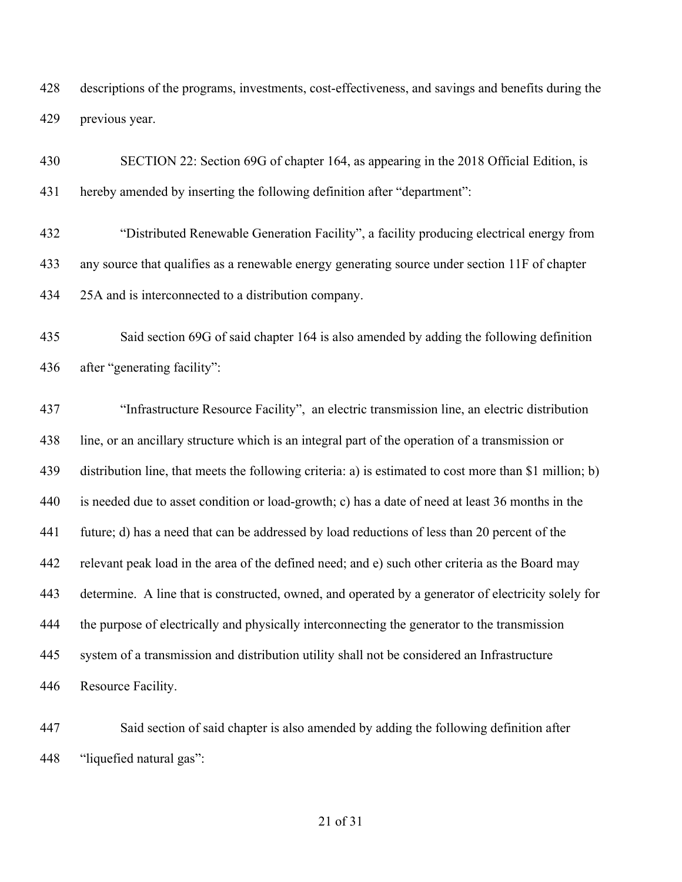descriptions of the programs, investments, cost-effectiveness, and savings and benefits during the previous year.

 SECTION 22: Section 69G of chapter 164, as appearing in the 2018 Official Edition, is hereby amended by inserting the following definition after "department":

 "Distributed Renewable Generation Facility", a facility producing electrical energy from any source that qualifies as a renewable energy generating source under section 11F of chapter 25A and is interconnected to a distribution company.

 Said section 69G of said chapter 164 is also amended by adding the following definition after "generating facility":

 "Infrastructure Resource Facility", an electric transmission line, an electric distribution line, or an ancillary structure which is an integral part of the operation of a transmission or distribution line, that meets the following criteria: a) is estimated to cost more than \$1 million; b) is needed due to asset condition or load-growth; c) has a date of need at least 36 months in the future; d) has a need that can be addressed by load reductions of less than 20 percent of the relevant peak load in the area of the defined need; and e) such other criteria as the Board may determine. A line that is constructed, owned, and operated by a generator of electricity solely for the purpose of electrically and physically interconnecting the generator to the transmission system of a transmission and distribution utility shall not be considered an Infrastructure Resource Facility.

 Said section of said chapter is also amended by adding the following definition after "liquefied natural gas":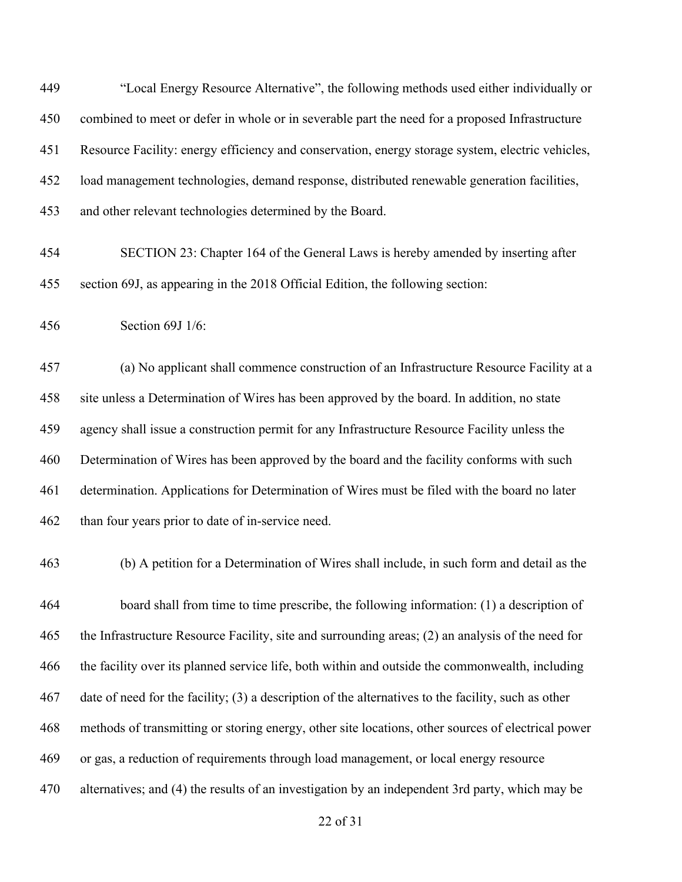"Local Energy Resource Alternative", the following methods used either individually or combined to meet or defer in whole or in severable part the need for a proposed Infrastructure Resource Facility: energy efficiency and conservation, energy storage system, electric vehicles, load management technologies, demand response, distributed renewable generation facilities, and other relevant technologies determined by the Board.

 SECTION 23: Chapter 164 of the General Laws is hereby amended by inserting after section 69J, as appearing in the 2018 Official Edition, the following section:

Section 69J 1/6:

 (a) No applicant shall commence construction of an Infrastructure Resource Facility at a site unless a Determination of Wires has been approved by the board. In addition, no state agency shall issue a construction permit for any Infrastructure Resource Facility unless the Determination of Wires has been approved by the board and the facility conforms with such determination. Applications for Determination of Wires must be filed with the board no later 462 than four years prior to date of in-service need.

(b) A petition for a Determination of Wires shall include, in such form and detail as the

 board shall from time to time prescribe, the following information: (1) a description of the Infrastructure Resource Facility, site and surrounding areas; (2) an analysis of the need for the facility over its planned service life, both within and outside the commonwealth, including date of need for the facility; (3) a description of the alternatives to the facility, such as other methods of transmitting or storing energy, other site locations, other sources of electrical power or gas, a reduction of requirements through load management, or local energy resource alternatives; and (4) the results of an investigation by an independent 3rd party, which may be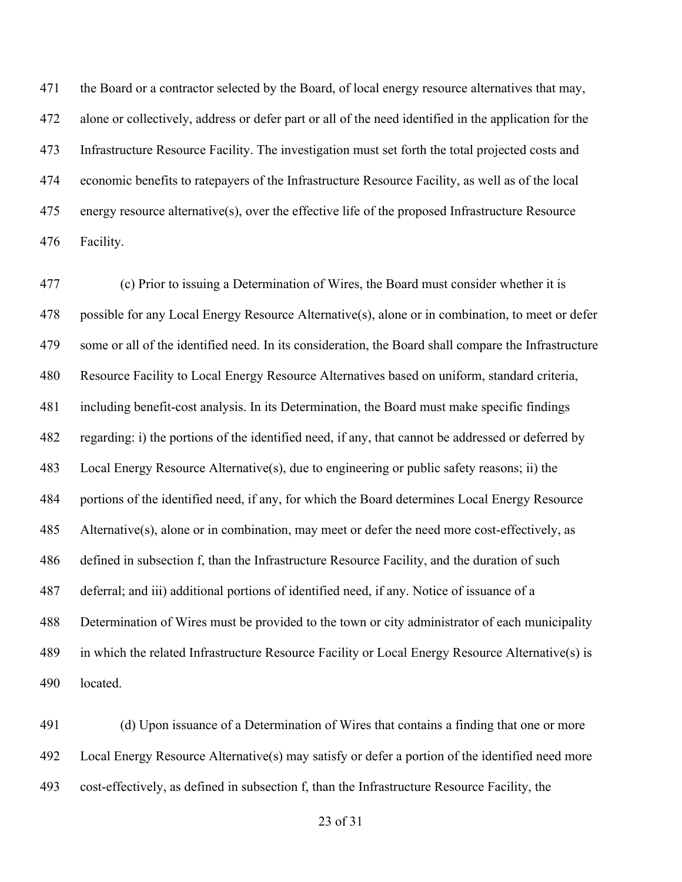the Board or a contractor selected by the Board, of local energy resource alternatives that may, alone or collectively, address or defer part or all of the need identified in the application for the Infrastructure Resource Facility. The investigation must set forth the total projected costs and economic benefits to ratepayers of the Infrastructure Resource Facility, as well as of the local energy resource alternative(s), over the effective life of the proposed Infrastructure Resource Facility.

 (c) Prior to issuing a Determination of Wires, the Board must consider whether it is possible for any Local Energy Resource Alternative(s), alone or in combination, to meet or defer some or all of the identified need. In its consideration, the Board shall compare the Infrastructure Resource Facility to Local Energy Resource Alternatives based on uniform, standard criteria, including benefit-cost analysis. In its Determination, the Board must make specific findings regarding: i) the portions of the identified need, if any, that cannot be addressed or deferred by Local Energy Resource Alternative(s), due to engineering or public safety reasons; ii) the portions of the identified need, if any, for which the Board determines Local Energy Resource Alternative(s), alone or in combination, may meet or defer the need more cost-effectively, as defined in subsection f, than the Infrastructure Resource Facility, and the duration of such deferral; and iii) additional portions of identified need, if any. Notice of issuance of a Determination of Wires must be provided to the town or city administrator of each municipality in which the related Infrastructure Resource Facility or Local Energy Resource Alternative(s) is located.

 (d) Upon issuance of a Determination of Wires that contains a finding that one or more Local Energy Resource Alternative(s) may satisfy or defer a portion of the identified need more cost-effectively, as defined in subsection f, than the Infrastructure Resource Facility, the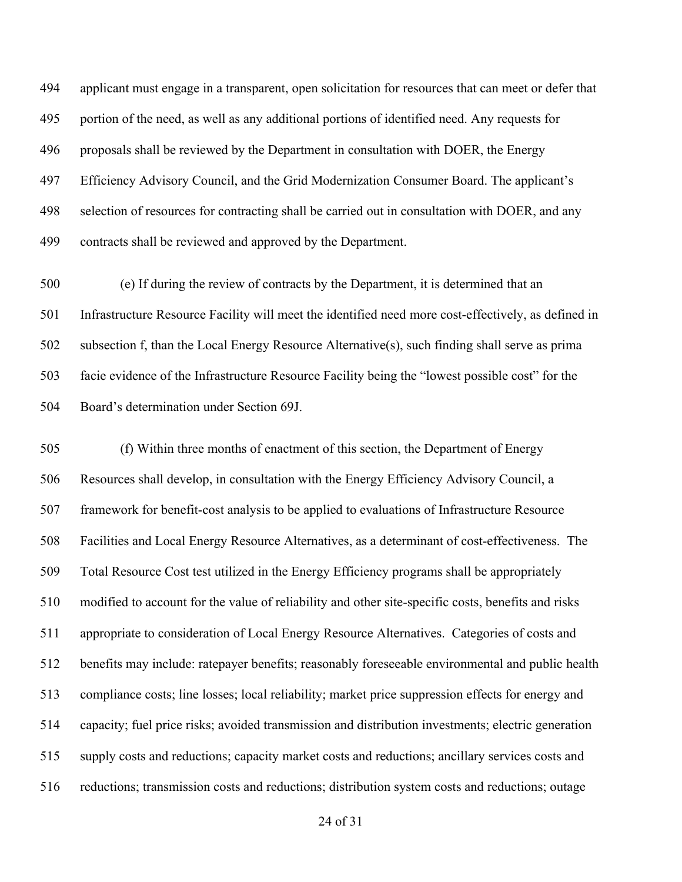applicant must engage in a transparent, open solicitation for resources that can meet or defer that portion of the need, as well as any additional portions of identified need. Any requests for proposals shall be reviewed by the Department in consultation with DOER, the Energy Efficiency Advisory Council, and the Grid Modernization Consumer Board. The applicant's selection of resources for contracting shall be carried out in consultation with DOER, and any contracts shall be reviewed and approved by the Department.

 (e) If during the review of contracts by the Department, it is determined that an Infrastructure Resource Facility will meet the identified need more cost-effectively, as defined in subsection f, than the Local Energy Resource Alternative(s), such finding shall serve as prima facie evidence of the Infrastructure Resource Facility being the "lowest possible cost" for the Board's determination under Section 69J.

 (f) Within three months of enactment of this section, the Department of Energy Resources shall develop, in consultation with the Energy Efficiency Advisory Council, a framework for benefit-cost analysis to be applied to evaluations of Infrastructure Resource Facilities and Local Energy Resource Alternatives, as a determinant of cost-effectiveness. The Total Resource Cost test utilized in the Energy Efficiency programs shall be appropriately modified to account for the value of reliability and other site-specific costs, benefits and risks appropriate to consideration of Local Energy Resource Alternatives. Categories of costs and benefits may include: ratepayer benefits; reasonably foreseeable environmental and public health compliance costs; line losses; local reliability; market price suppression effects for energy and capacity; fuel price risks; avoided transmission and distribution investments; electric generation supply costs and reductions; capacity market costs and reductions; ancillary services costs and reductions; transmission costs and reductions; distribution system costs and reductions; outage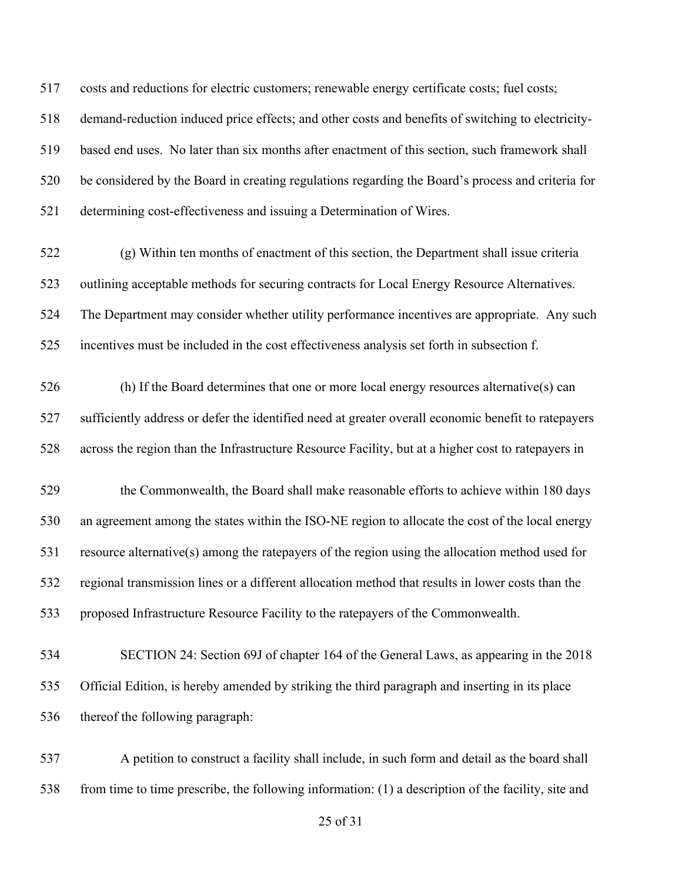costs and reductions for electric customers; renewable energy certificate costs; fuel costs; demand-reduction induced price effects; and other costs and benefits of switching to electricity- based end uses. No later than six months after enactment of this section, such framework shall be considered by the Board in creating regulations regarding the Board's process and criteria for determining cost-effectiveness and issuing a Determination of Wires.

 (g) Within ten months of enactment of this section, the Department shall issue criteria outlining acceptable methods for securing contracts for Local Energy Resource Alternatives. The Department may consider whether utility performance incentives are appropriate. Any such incentives must be included in the cost effectiveness analysis set forth in subsection f.

 (h) If the Board determines that one or more local energy resources alternative(s) can sufficiently address or defer the identified need at greater overall economic benefit to ratepayers across the region than the Infrastructure Resource Facility, but at a higher cost to ratepayers in

 the Commonwealth, the Board shall make reasonable efforts to achieve within 180 days an agreement among the states within the ISO-NE region to allocate the cost of the local energy resource alternative(s) among the ratepayers of the region using the allocation method used for regional transmission lines or a different allocation method that results in lower costs than the proposed Infrastructure Resource Facility to the ratepayers of the Commonwealth.

 SECTION 24: Section 69J of chapter 164 of the General Laws, as appearing in the 2018 Official Edition, is hereby amended by striking the third paragraph and inserting in its place thereof the following paragraph:

 A petition to construct a facility shall include, in such form and detail as the board shall from time to time prescribe, the following information: (1) a description of the facility, site and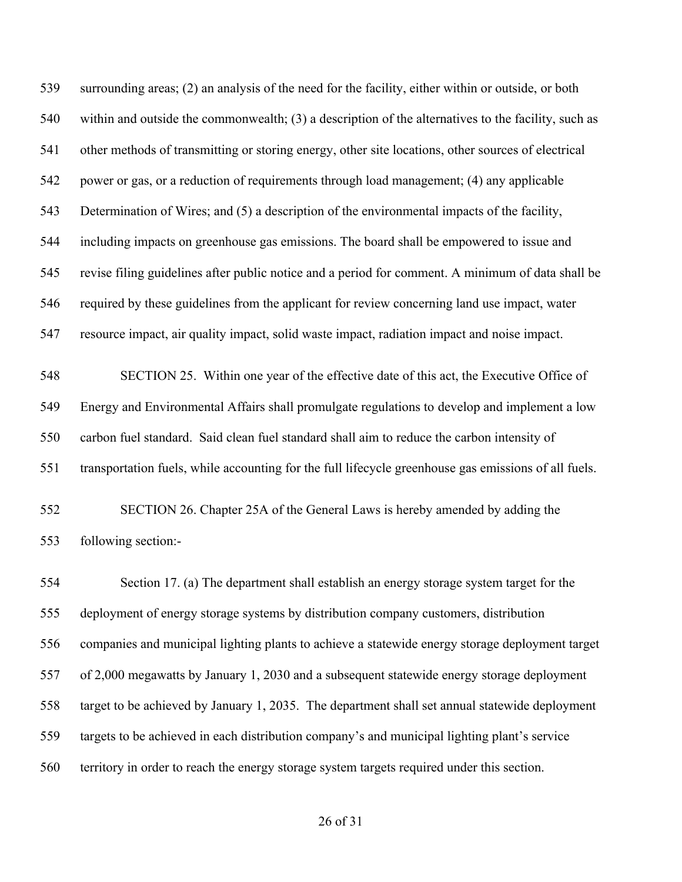surrounding areas; (2) an analysis of the need for the facility, either within or outside, or both within and outside the commonwealth; (3) a description of the alternatives to the facility, such as other methods of transmitting or storing energy, other site locations, other sources of electrical power or gas, or a reduction of requirements through load management; (4) any applicable Determination of Wires; and (5) a description of the environmental impacts of the facility, including impacts on greenhouse gas emissions. The board shall be empowered to issue and revise filing guidelines after public notice and a period for comment. A minimum of data shall be required by these guidelines from the applicant for review concerning land use impact, water resource impact, air quality impact, solid waste impact, radiation impact and noise impact.

 SECTION 25. Within one year of the effective date of this act, the Executive Office of Energy and Environmental Affairs shall promulgate regulations to develop and implement a low carbon fuel standard. Said clean fuel standard shall aim to reduce the carbon intensity of transportation fuels, while accounting for the full lifecycle greenhouse gas emissions of all fuels.

 SECTION 26. Chapter 25A of the General Laws is hereby amended by adding the following section:-

 Section 17. (a) The department shall establish an energy storage system target for the deployment of energy storage systems by distribution company customers, distribution companies and municipal lighting plants to achieve a statewide energy storage deployment target of 2,000 megawatts by January 1, 2030 and a subsequent statewide energy storage deployment target to be achieved by January 1, 2035. The department shall set annual statewide deployment targets to be achieved in each distribution company's and municipal lighting plant's service territory in order to reach the energy storage system targets required under this section.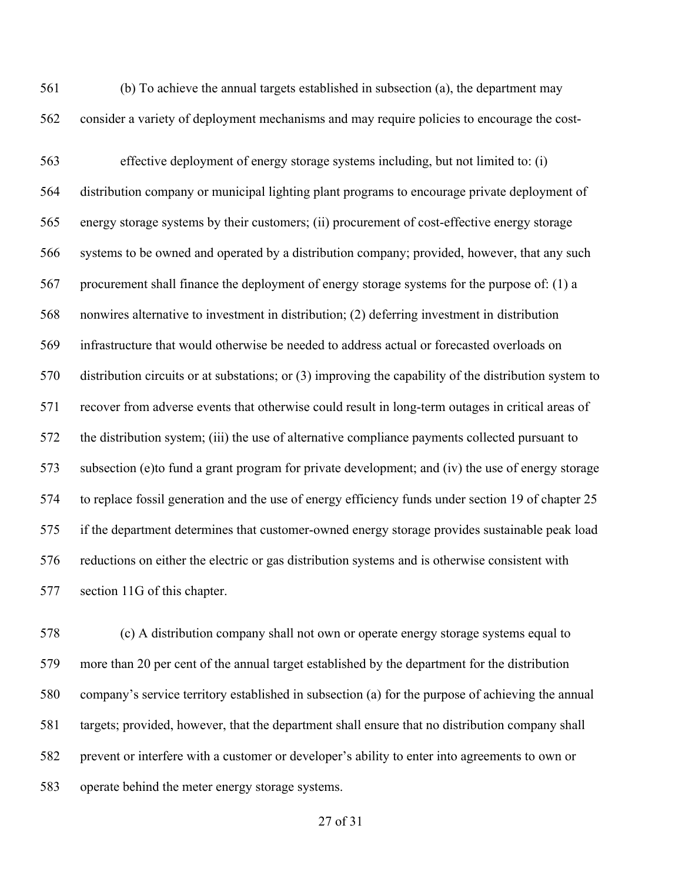(b) To achieve the annual targets established in subsection (a), the department may consider a variety of deployment mechanisms and may require policies to encourage the cost-

 effective deployment of energy storage systems including, but not limited to: (i) distribution company or municipal lighting plant programs to encourage private deployment of energy storage systems by their customers; (ii) procurement of cost-effective energy storage systems to be owned and operated by a distribution company; provided, however, that any such procurement shall finance the deployment of energy storage systems for the purpose of: (1) a nonwires alternative to investment in distribution; (2) deferring investment in distribution infrastructure that would otherwise be needed to address actual or forecasted overloads on distribution circuits or at substations; or (3) improving the capability of the distribution system to recover from adverse events that otherwise could result in long-term outages in critical areas of the distribution system; (iii) the use of alternative compliance payments collected pursuant to subsection (e)to fund a grant program for private development; and (iv) the use of energy storage to replace fossil generation and the use of energy efficiency funds under section 19 of chapter 25 if the department determines that customer-owned energy storage provides sustainable peak load reductions on either the electric or gas distribution systems and is otherwise consistent with section 11G of this chapter.

 (c) A distribution company shall not own or operate energy storage systems equal to more than 20 per cent of the annual target established by the department for the distribution company's service territory established in subsection (a) for the purpose of achieving the annual targets; provided, however, that the department shall ensure that no distribution company shall prevent or interfere with a customer or developer's ability to enter into agreements to own or operate behind the meter energy storage systems.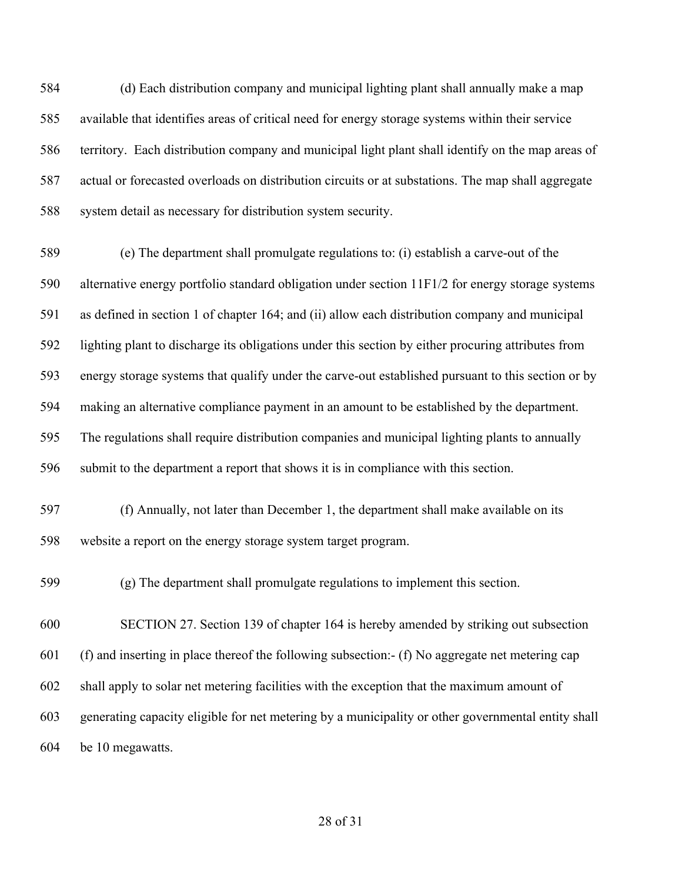(d) Each distribution company and municipal lighting plant shall annually make a map available that identifies areas of critical need for energy storage systems within their service territory. Each distribution company and municipal light plant shall identify on the map areas of actual or forecasted overloads on distribution circuits or at substations. The map shall aggregate system detail as necessary for distribution system security.

 (e) The department shall promulgate regulations to: (i) establish a carve-out of the alternative energy portfolio standard obligation under section 11F1/2 for energy storage systems as defined in section 1 of chapter 164; and (ii) allow each distribution company and municipal lighting plant to discharge its obligations under this section by either procuring attributes from energy storage systems that qualify under the carve-out established pursuant to this section or by making an alternative compliance payment in an amount to be established by the department. The regulations shall require distribution companies and municipal lighting plants to annually submit to the department a report that shows it is in compliance with this section.

 (f) Annually, not later than December 1, the department shall make available on its website a report on the energy storage system target program.

(g) The department shall promulgate regulations to implement this section.

 SECTION 27. Section 139 of chapter 164 is hereby amended by striking out subsection (f) and inserting in place thereof the following subsection:- (f) No aggregate net metering cap shall apply to solar net metering facilities with the exception that the maximum amount of generating capacity eligible for net metering by a municipality or other governmental entity shall be 10 megawatts.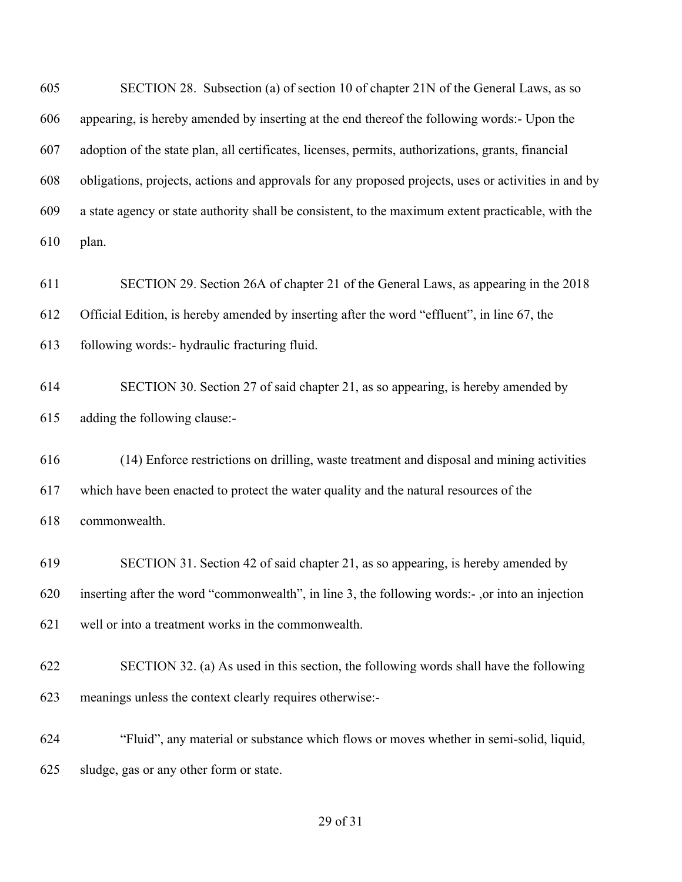SECTION 28. Subsection (a) of section 10 of chapter 21N of the General Laws, as so appearing, is hereby amended by inserting at the end thereof the following words:- Upon the adoption of the state plan, all certificates, licenses, permits, authorizations, grants, financial obligations, projects, actions and approvals for any proposed projects, uses or activities in and by a state agency or state authority shall be consistent, to the maximum extent practicable, with the plan.

 SECTION 29. Section 26A of chapter 21 of the General Laws, as appearing in the 2018 Official Edition, is hereby amended by inserting after the word "effluent", in line 67, the following words:- hydraulic fracturing fluid.

 SECTION 30. Section 27 of said chapter 21, as so appearing, is hereby amended by adding the following clause:-

 (14) Enforce restrictions on drilling, waste treatment and disposal and mining activities which have been enacted to protect the water quality and the natural resources of the commonwealth.

 SECTION 31. Section 42 of said chapter 21, as so appearing, is hereby amended by inserting after the word "commonwealth", in line 3, the following words:- ,or into an injection well or into a treatment works in the commonwealth.

 SECTION 32. (a) As used in this section, the following words shall have the following meanings unless the context clearly requires otherwise:-

 "Fluid", any material or substance which flows or moves whether in semi-solid, liquid, sludge, gas or any other form or state.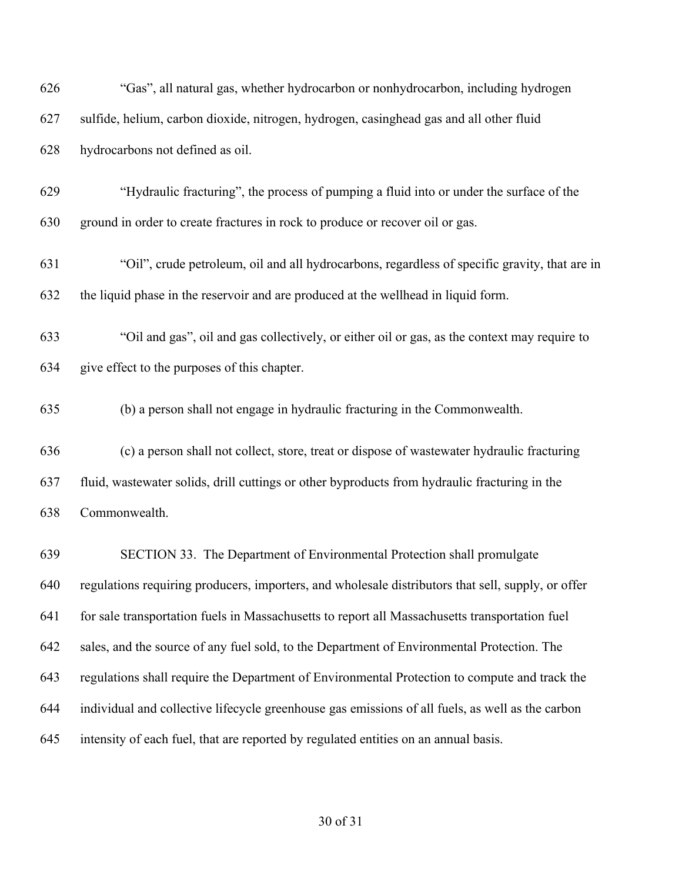"Gas", all natural gas, whether hydrocarbon or nonhydrocarbon, including hydrogen sulfide, helium, carbon dioxide, nitrogen, hydrogen, casinghead gas and all other fluid hydrocarbons not defined as oil. "Hydraulic fracturing", the process of pumping a fluid into or under the surface of the ground in order to create fractures in rock to produce or recover oil or gas. "Oil", crude petroleum, oil and all hydrocarbons, regardless of specific gravity, that are in the liquid phase in the reservoir and are produced at the wellhead in liquid form. "Oil and gas", oil and gas collectively, or either oil or gas, as the context may require to give effect to the purposes of this chapter. (b) a person shall not engage in hydraulic fracturing in the Commonwealth. (c) a person shall not collect, store, treat or dispose of wastewater hydraulic fracturing fluid, wastewater solids, drill cuttings or other byproducts from hydraulic fracturing in the Commonwealth. SECTION 33. The Department of Environmental Protection shall promulgate regulations requiring producers, importers, and wholesale distributors that sell, supply, or offer for sale transportation fuels in Massachusetts to report all Massachusetts transportation fuel sales, and the source of any fuel sold, to the Department of Environmental Protection. The regulations shall require the Department of Environmental Protection to compute and track the individual and collective lifecycle greenhouse gas emissions of all fuels, as well as the carbon intensity of each fuel, that are reported by regulated entities on an annual basis.